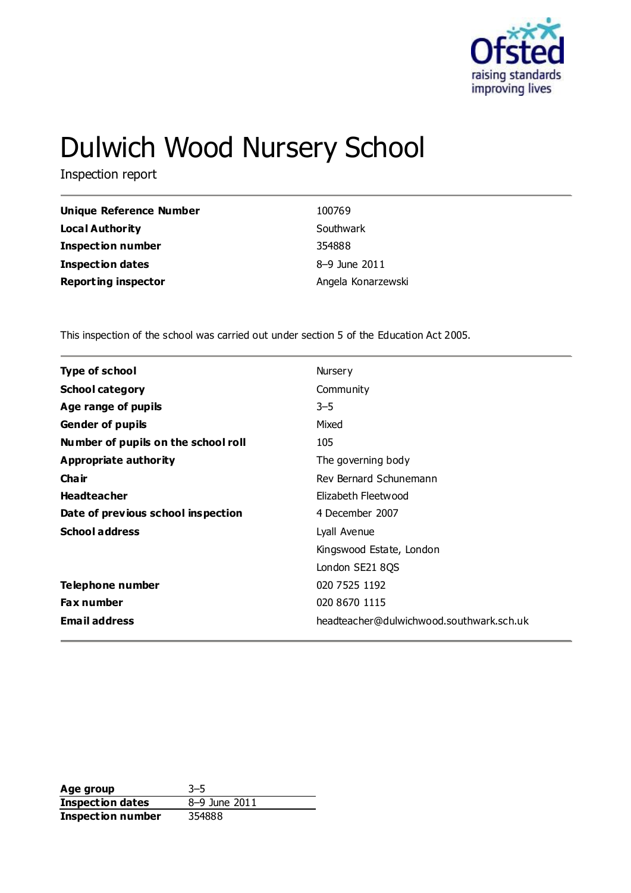

# Dulwich Wood Nursery School

Inspection report

| <b>Unique Reference Number</b> | 100769             |
|--------------------------------|--------------------|
| <b>Local Authority</b>         | Southwark          |
| <b>Inspection number</b>       | 354888             |
| <b>Inspection dates</b>        | 8-9 June 2011      |
| <b>Reporting inspector</b>     | Angela Konarzewski |

This inspection of the school was carried out under section 5 of the Education Act 2005.

| <b>Type of school</b>               | Nursery                                  |
|-------------------------------------|------------------------------------------|
| <b>School category</b>              | Community                                |
| Age range of pupils                 | $3 - 5$                                  |
| <b>Gender of pupils</b>             | Mixed                                    |
| Number of pupils on the school roll | 105                                      |
| Appropriate authority               | The governing body                       |
| Cha ir                              | Rev Bernard Schunemann                   |
| <b>Headteacher</b>                  | Elizabeth Fleetwood                      |
| Date of previous school inspection  | 4 December 2007                          |
| <b>School address</b>               | Lyall Avenue                             |
|                                     | Kingswood Estate, London                 |
|                                     | London SE21 8QS                          |
| Telephone number                    | 020 7525 1192                            |
| <b>Fax number</b>                   | 020 8670 1115                            |
| <b>Email address</b>                | headteacher@dulwichwood.southwark.sch.uk |
|                                     |                                          |

**Age group** 3–5 **Inspection dates** 8–9 June 2011 **Inspection number** 354888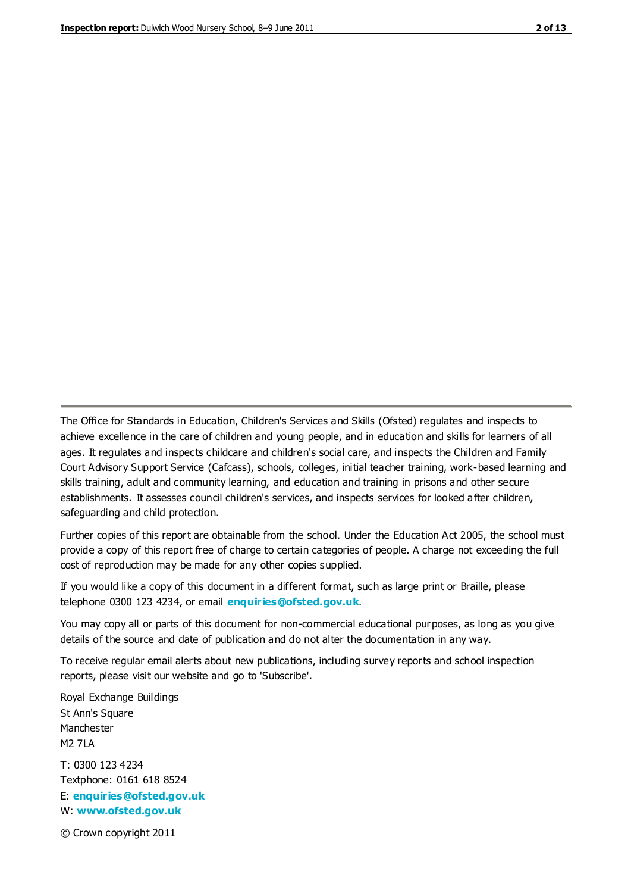The Office for Standards in Education, Children's Services and Skills (Ofsted) regulates and inspects to achieve excellence in the care of children and young people, and in education and skills for learners of all ages. It regulates and inspects childcare and children's social care, and inspects the Children and Family Court Advisory Support Service (Cafcass), schools, colleges, initial teacher training, work-based learning and skills training, adult and community learning, and education and training in prisons and other secure establishments. It assesses council children's services, and inspects services for looked after children, safeguarding and child protection.

Further copies of this report are obtainable from the school. Under the Education Act 2005, the school must provide a copy of this report free of charge to certain categories of people. A charge not exceeding the full cost of reproduction may be made for any other copies supplied.

If you would like a copy of this document in a different format, such as large print or Braille, please telephone 0300 123 4234, or email **[enquiries@ofsted.gov.uk](mailto:enquiries@ofsted.gov.uk)**.

You may copy all or parts of this document for non-commercial educational purposes, as long as you give details of the source and date of publication and do not alter the documentation in any way.

To receive regular email alerts about new publications, including survey reports and school inspection reports, please visit our website and go to 'Subscribe'.

Royal Exchange Buildings St Ann's Square Manchester M2 7LA T: 0300 123 4234 Textphone: 0161 618 8524 E: **[enquiries@ofsted.gov.uk](mailto:enquiries@ofsted.gov.uk)**

W: **[www.ofsted.gov.uk](http://www.ofsted.gov.uk/)**

© Crown copyright 2011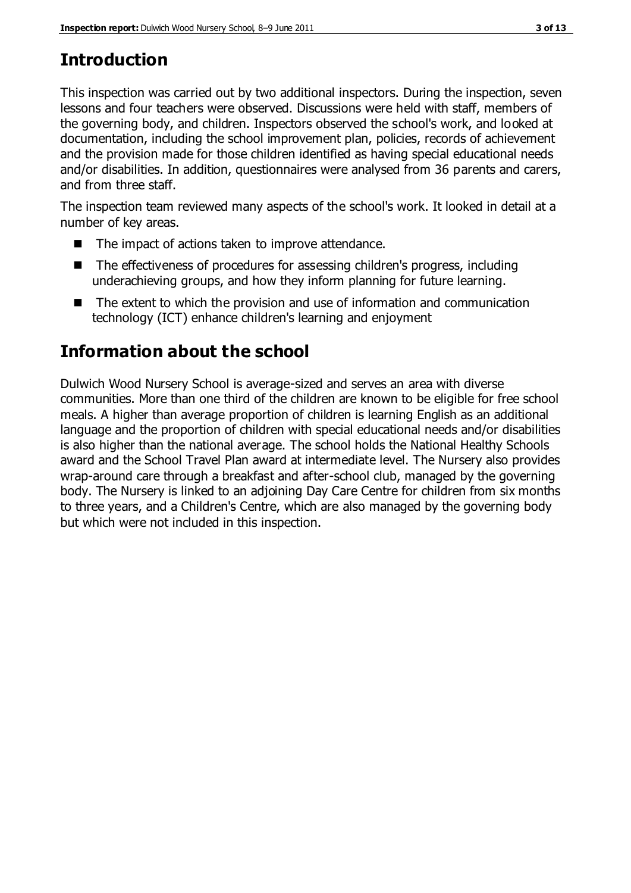# **Introduction**

This inspection was carried out by two additional inspectors. During the inspection, seven lessons and four teachers were observed. Discussions were held with staff, members of the governing body, and children. Inspectors observed the school's work, and looked at documentation, including the school improvement plan, policies, records of achievement and the provision made for those children identified as having special educational needs and/or disabilities. In addition, questionnaires were analysed from 36 parents and carers, and from three staff.

The inspection team reviewed many aspects of the school's work. It looked in detail at a number of key areas.

- The impact of actions taken to improve attendance.
- The effectiveness of procedures for assessing children's progress, including underachieving groups, and how they inform planning for future learning.
- The extent to which the provision and use of information and communication technology (ICT) enhance children's learning and enjoyment

# **Information about the school**

Dulwich Wood Nursery School is average-sized and serves an area with diverse communities. More than one third of the children are known to be eligible for free school meals. A higher than average proportion of children is learning English as an additional language and the proportion of children with special educational needs and/or disabilities is also higher than the national average. The school holds the National Healthy Schools award and the School Travel Plan award at intermediate level. The Nursery also provides wrap-around care through a breakfast and after-school club, managed by the governing body. The Nursery is linked to an adjoining Day Care Centre for children from six months to three years, and a Children's Centre, which are also managed by the governing body but which were not included in this inspection.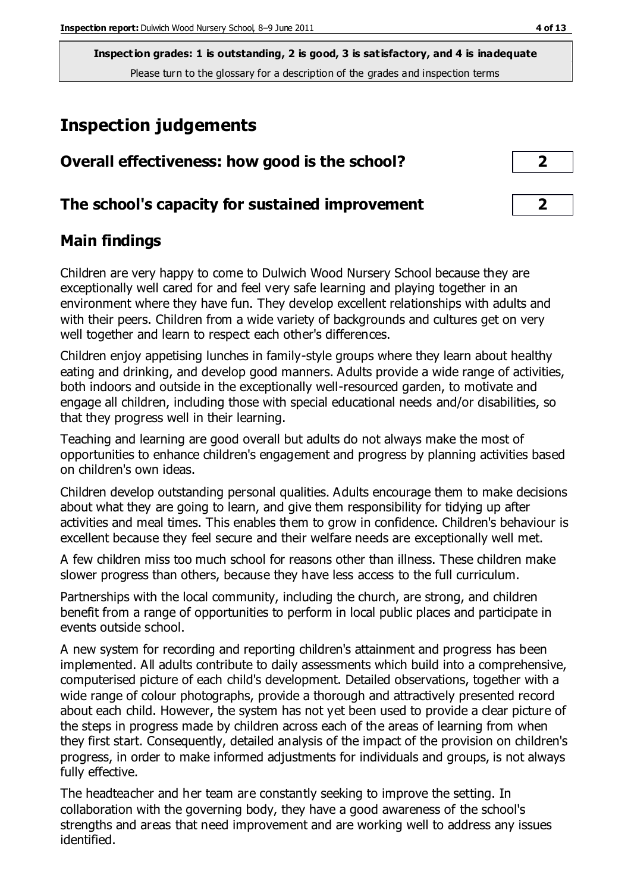# **Inspection judgements**

| Overall effectiveness: how good is the school?  |  |
|-------------------------------------------------|--|
| The school's capacity for sustained improvement |  |

#### **Main findings**

Children are very happy to come to Dulwich Wood Nursery School because they are exceptionally well cared for and feel very safe learning and playing together in an environment where they have fun. They develop excellent relationships with adults and with their peers. Children from a wide variety of backgrounds and cultures get on very well together and learn to respect each other's differences.

Children enjoy appetising lunches in family-style groups where they learn about healthy eating and drinking, and develop good manners. Adults provide a wide range of activities, both indoors and outside in the exceptionally well-resourced garden, to motivate and engage all children, including those with special educational needs and/or disabilities, so that they progress well in their learning.

Teaching and learning are good overall but adults do not always make the most of opportunities to enhance children's engagement and progress by planning activities based on children's own ideas.

Children develop outstanding personal qualities. Adults encourage them to make decisions about what they are going to learn, and give them responsibility for tidying up after activities and meal times. This enables them to grow in confidence. Children's behaviour is excellent because they feel secure and their welfare needs are exceptionally well met.

A few children miss too much school for reasons other than illness. These children make slower progress than others, because they have less access to the full curriculum.

Partnerships with the local community, including the church, are strong, and children benefit from a range of opportunities to perform in local public places and participate in events outside school.

A new system for recording and reporting children's attainment and progress has been implemented. All adults contribute to daily assessments which build into a comprehensive, computerised picture of each child's development. Detailed observations, together with a wide range of colour photographs, provide a thorough and attractively presented record about each child. However, the system has not yet been used to provide a clear picture of the steps in progress made by children across each of the areas of learning from when they first start. Consequently, detailed analysis of the impact of the provision on children's progress, in order to make informed adjustments for individuals and groups, is not always fully effective.

The headteacher and her team are constantly seeking to improve the setting. In collaboration with the governing body, they have a good awareness of the school's strengths and areas that need improvement and are working well to address any issues identified.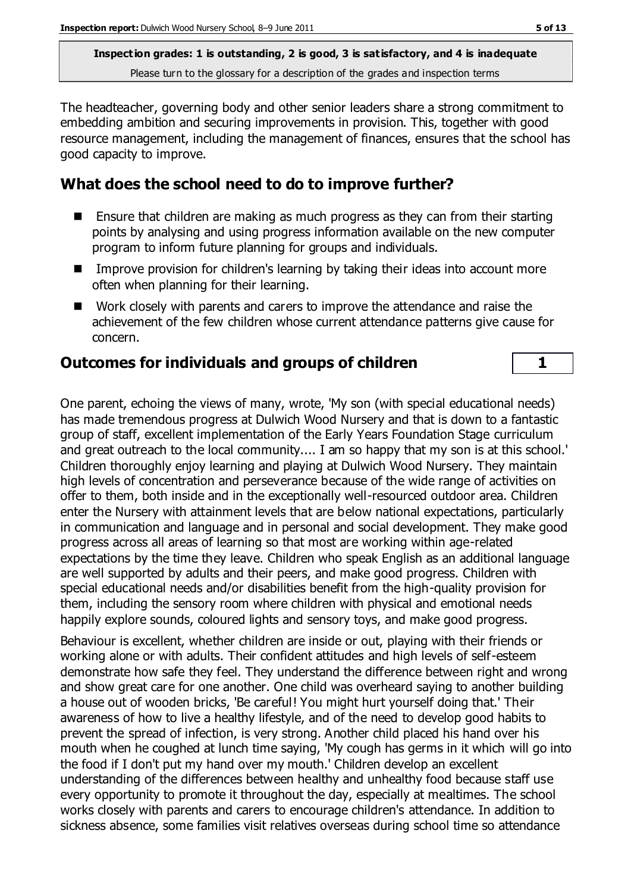The headteacher, governing body and other senior leaders share a strong commitment to embedding ambition and securing improvements in provision. This, together with good resource management, including the management of finances, ensures that the school has good capacity to improve.

#### **What does the school need to do to improve further?**

- **E** Ensure that children are making as much progress as they can from their starting points by analysing and using progress information available on the new computer program to inform future planning for groups and individuals.
- Improve provision for children's learning by taking their ideas into account more often when planning for their learning.
- Work closely with parents and carers to improve the attendance and raise the achievement of the few children whose current attendance patterns give cause for concern.

#### **Outcomes for individuals and groups of children 1**

One parent, echoing the views of many, wrote, 'My son (with special educational needs) has made tremendous progress at Dulwich Wood Nursery and that is down to a fantastic group of staff, excellent implementation of the Early Years Foundation Stage curriculum and great outreach to the local community.... I am so happy that my son is at this school.' Children thoroughly enjoy learning and playing at Dulwich Wood Nursery. They maintain high levels of concentration and perseverance because of the wide range of activities on offer to them, both inside and in the exceptionally well-resourced outdoor area. Children enter the Nursery with attainment levels that are below national expectations, particularly in communication and language and in personal and social development. They make good progress across all areas of learning so that most are working within age-related expectations by the time they leave. Children who speak English as an additional language are well supported by adults and their peers, and make good progress. Children with special educational needs and/or disabilities benefit from the high-quality provision for them, including the sensory room where children with physical and emotional needs happily explore sounds, coloured lights and sensory toys, and make good progress.

Behaviour is excellent, whether children are inside or out, playing with their friends or working alone or with adults. Their confident attitudes and high levels of self-esteem demonstrate how safe they feel. They understand the difference between right and wrong and show great care for one another. One child was overheard saying to another building a house out of wooden bricks, 'Be careful! You might hurt yourself doing that.' Their awareness of how to live a healthy lifestyle, and of the need to develop good habits to prevent the spread of infection, is very strong. Another child placed his hand over his mouth when he coughed at lunch time saying, 'My cough has germs in it which will go into the food if I don't put my hand over my mouth.' Children develop an excellent understanding of the differences between healthy and unhealthy food because staff use every opportunity to promote it throughout the day, especially at mealtimes. The school works closely with parents and carers to encourage children's attendance. In addition to sickness absence, some families visit relatives overseas during school time so attendance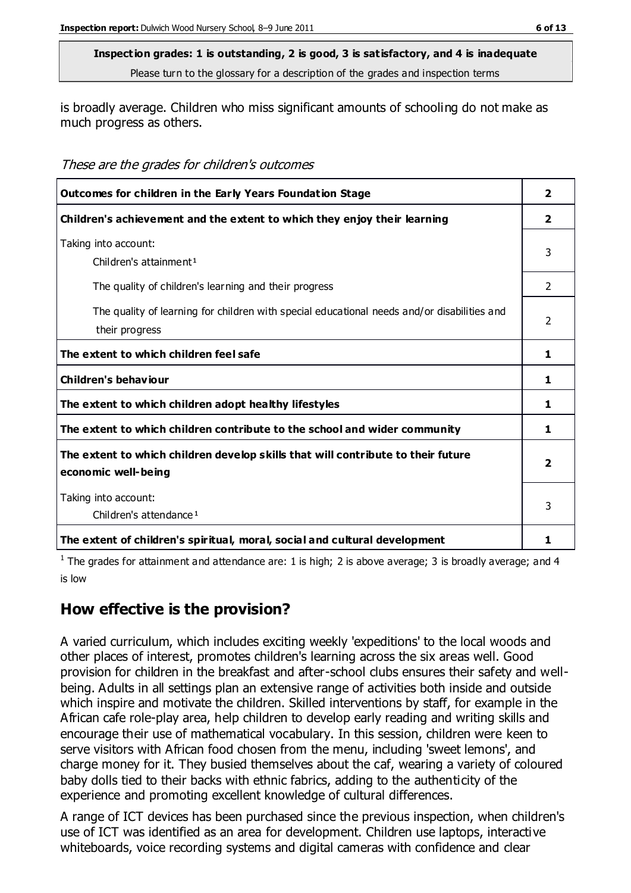is broadly average. Children who miss significant amounts of schooling do not make as much progress as others.

These are the grades for children's outcomes

| Outcomes for children in the Early Years Foundation Stage                                   | $\overline{2}$ |
|---------------------------------------------------------------------------------------------|----------------|
| Children's achievement and the extent to which they enjoy their learning                    |                |
| Taking into account:                                                                        | 3              |
| Children's attainment <sup>1</sup>                                                          |                |
| The quality of children's learning and their progress                                       | 2              |
| The quality of learning for children with special educational needs and/or disabilities and |                |
| their progress                                                                              | 2              |
| The extent to which children feel safe                                                      | 1              |
| Children's behaviour                                                                        | 1              |
| The extent to which children adopt healthy lifestyles                                       | 1              |
| The extent to which children contribute to the school and wider community                   |                |
| The extent to which children develop skills that will contribute to their future            | 2              |
| economic well-being                                                                         |                |
| Taking into account:                                                                        |                |
| Children's attendance <sup>1</sup>                                                          | 3              |
| The extent of children's spiritual, moral, social and cultural development                  | 1              |

<sup>1</sup> The grades for attainment and attendance are: 1 is high; 2 is above average; 3 is broadly average; and 4 is low

### **How effective is the provision?**

A varied curriculum, which includes exciting weekly 'expeditions' to the local woods and other places of interest, promotes children's learning across the six areas well. Good provision for children in the breakfast and after-school clubs ensures their safety and wellbeing. Adults in all settings plan an extensive range of activities both inside and outside which inspire and motivate the children. Skilled interventions by staff, for example in the African cafe role-play area, help children to develop early reading and writing skills and encourage their use of mathematical vocabulary. In this session, children were keen to serve visitors with African food chosen from the menu, including 'sweet lemons', and charge money for it. They busied themselves about the caf, wearing a variety of coloured baby dolls tied to their backs with ethnic fabrics, adding to the authenticity of the experience and promoting excellent knowledge of cultural differences.

A range of ICT devices has been purchased since the previous inspection, when children's use of ICT was identified as an area for development. Children use laptops, interactive whiteboards, voice recording systems and digital cameras with confidence and clear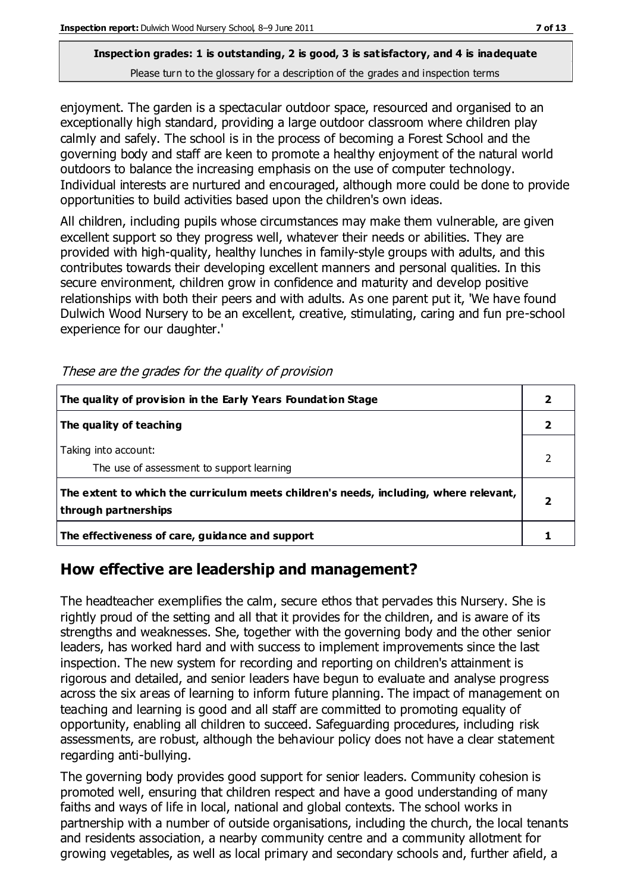# **Inspection grades: 1 is outstanding, 2 is good, 3 is satisfactory, and 4 is inadequate**

Please turn to the glossary for a description of the grades and inspection terms

enjoyment. The garden is a spectacular outdoor space, resourced and organised to an exceptionally high standard, providing a large outdoor classroom where children play calmly and safely. The school is in the process of becoming a Forest School and the governing body and staff are keen to promote a healthy enjoyment of the natural world outdoors to balance the increasing emphasis on the use of computer technology. Individual interests are nurtured and encouraged, although more could be done to provide opportunities to build activities based upon the children's own ideas.

All children, including pupils whose circumstances may make them vulnerable, are given excellent support so they progress well, whatever their needs or abilities. They are provided with high-quality, healthy lunches in family-style groups with adults, and this contributes towards their developing excellent manners and personal qualities. In this secure environment, children grow in confidence and maturity and develop positive relationships with both their peers and with adults. As one parent put it, 'We have found Dulwich Wood Nursery to be an excellent, creative, stimulating, caring and fun pre-school experience for our daughter.'

| The quality of provision in the Early Years Foundation Stage                                                  |  |
|---------------------------------------------------------------------------------------------------------------|--|
| The quality of teaching                                                                                       |  |
| Taking into account:<br>The use of assessment to support learning                                             |  |
| The extent to which the curriculum meets children's needs, including, where relevant,<br>through partnerships |  |
| The effectiveness of care, guidance and support                                                               |  |

These are the grades for the quality of provision

#### **How effective are leadership and management?**

The headteacher exemplifies the calm, secure ethos that pervades this Nursery. She is rightly proud of the setting and all that it provides for the children, and is aware of its strengths and weaknesses. She, together with the governing body and the other senior leaders, has worked hard and with success to implement improvements since the last inspection. The new system for recording and reporting on children's attainment is rigorous and detailed, and senior leaders have begun to evaluate and analyse progress across the six areas of learning to inform future planning. The impact of management on teaching and learning is good and all staff are committed to promoting equality of opportunity, enabling all children to succeed. Safeguarding procedures, including risk assessments, are robust, although the behaviour policy does not have a clear statement regarding anti-bullying.

The governing body provides good support for senior leaders. Community cohesion is promoted well, ensuring that children respect and have a good understanding of many faiths and ways of life in local, national and global contexts. The school works in partnership with a number of outside organisations, including the church, the local tenants and residents association, a nearby community centre and a community allotment for growing vegetables, as well as local primary and secondary schools and, further afield, a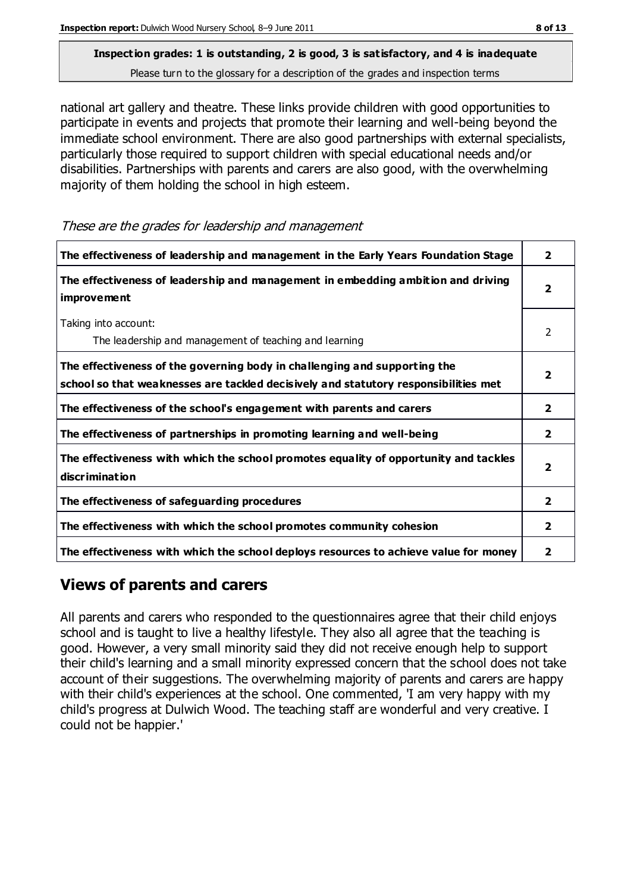national art gallery and theatre. These links provide children with good opportunities to participate in events and projects that promote their learning and well-being beyond the immediate school environment. There are also good partnerships with external specialists, particularly those required to support children with special educational needs and/or disabilities. Partnerships with parents and carers are also good, with the overwhelming majority of them holding the school in high esteem.

| The effectiveness of leadership and management in the Early Years Foundation Stage                                                                               | $\mathbf{2}$            |
|------------------------------------------------------------------------------------------------------------------------------------------------------------------|-------------------------|
| The effectiveness of leadership and management in embedding ambition and driving<br><i>improvement</i>                                                           | $\overline{2}$          |
| Taking into account:<br>The leadership and management of teaching and learning                                                                                   | 2                       |
| The effectiveness of the governing body in challenging and supporting the<br>school so that weaknesses are tackled decisively and statutory responsibilities met | 2                       |
| The effectiveness of the school's engagement with parents and carers                                                                                             | $\overline{2}$          |
| The effectiveness of partnerships in promoting learning and well-being                                                                                           | $\overline{\mathbf{2}}$ |
| The effectiveness with which the school promotes equality of opportunity and tackles<br>discrimination                                                           | $\overline{2}$          |
| The effectiveness of safeguarding procedures                                                                                                                     | $\overline{2}$          |
| The effectiveness with which the school promotes community cohesion                                                                                              | $\mathbf{2}$            |
| The effectiveness with which the school deploys resources to achieve value for money                                                                             | 2                       |

These are the grades for leadership and management

#### **Views of parents and carers**

All parents and carers who responded to the questionnaires agree that their child enjoys school and is taught to live a healthy lifestyle. They also all agree that the teaching is good. However, a very small minority said they did not receive enough help to support their child's learning and a small minority expressed concern that the school does not take account of their suggestions. The overwhelming majority of parents and carers are happy with their child's experiences at the school. One commented, 'I am very happy with my child's progress at Dulwich Wood. The teaching staff are wonderful and very creative. I could not be happier.'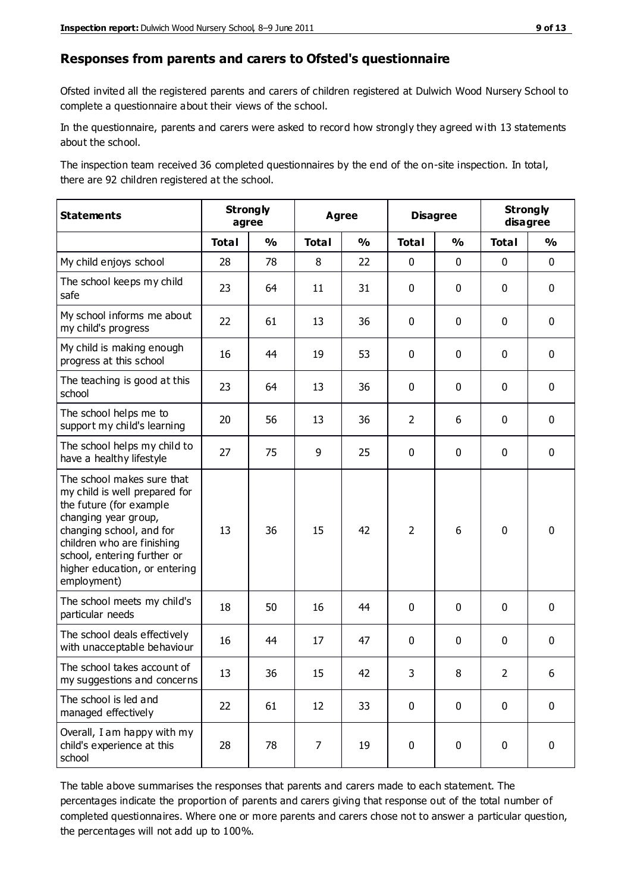#### **Responses from parents and carers to Ofsted's questionnaire**

Ofsted invited all the registered parents and carers of children registered at Dulwich Wood Nursery School to complete a questionnaire about their views of the school.

In the questionnaire, parents and carers were asked to record how strongly they agreed with 13 statements about the school.

The inspection team received 36 completed questionnaires by the end of the on-site inspection. In total, there are 92 children registered at the school.

| <b>Statements</b>                                                                                                                                                                                                                                       | <b>Strongly</b><br>agree |               | <b>Agree</b> |               |                | <b>Disagree</b> |                | <b>Strongly</b><br>disagree |  |
|---------------------------------------------------------------------------------------------------------------------------------------------------------------------------------------------------------------------------------------------------------|--------------------------|---------------|--------------|---------------|----------------|-----------------|----------------|-----------------------------|--|
|                                                                                                                                                                                                                                                         | <b>Total</b>             | $\frac{1}{2}$ | <b>Total</b> | $\frac{1}{2}$ | <b>Total</b>   | $\frac{1}{2}$   | <b>Total</b>   | $\frac{1}{2}$               |  |
| My child enjoys school                                                                                                                                                                                                                                  | 28                       | 78            | 8            | 22            | 0              | $\mathbf 0$     | $\mathbf 0$    | $\mathbf 0$                 |  |
| The school keeps my child<br>safe                                                                                                                                                                                                                       | 23                       | 64            | 11           | 31            | 0              | $\mathbf 0$     | $\mathbf 0$    | $\mathbf 0$                 |  |
| My school informs me about<br>my child's progress                                                                                                                                                                                                       | 22                       | 61            | 13           | 36            | 0              | $\mathbf{0}$    | $\mathbf 0$    | $\mathbf 0$                 |  |
| My child is making enough<br>progress at this school                                                                                                                                                                                                    | 16                       | 44            | 19           | 53            | 0              | $\mathbf 0$     | $\mathbf 0$    | $\mathbf 0$                 |  |
| The teaching is good at this<br>school                                                                                                                                                                                                                  | 23                       | 64            | 13           | 36            | 0              | $\mathbf 0$     | $\mathbf 0$    | $\mathbf 0$                 |  |
| The school helps me to<br>support my child's learning                                                                                                                                                                                                   | 20                       | 56            | 13           | 36            | $\overline{2}$ | 6               | $\mathbf 0$    | $\mathbf 0$                 |  |
| The school helps my child to<br>have a healthy lifestyle                                                                                                                                                                                                | 27                       | 75            | 9            | 25            | 0              | $\mathbf 0$     | $\mathbf 0$    | $\mathbf 0$                 |  |
| The school makes sure that<br>my child is well prepared for<br>the future (for example<br>changing year group,<br>changing school, and for<br>children who are finishing<br>school, entering further or<br>higher education, or entering<br>employment) | 13                       | 36            | 15           | 42            | $\overline{2}$ | 6               | $\mathbf 0$    | $\mathbf 0$                 |  |
| The school meets my child's<br>particular needs                                                                                                                                                                                                         | 18                       | 50            | 16           | 44            | $\mathbf 0$    | $\mathbf 0$     | $\mathbf 0$    | $\mathbf 0$                 |  |
| The school deals effectively<br>with unacceptable behaviour                                                                                                                                                                                             | 16                       | 44            | 17           | 47            | 0              | $\mathbf 0$     | $\mathbf 0$    | $\pmb{0}$                   |  |
| The school takes account of<br>my suggestions and concerns                                                                                                                                                                                              | 13                       | 36            | 15           | 42            | 3              | 8               | $\overline{2}$ | 6                           |  |
| The school is led and<br>managed effectively                                                                                                                                                                                                            | 22                       | 61            | 12           | 33            | $\mathbf 0$    | $\mathbf 0$     | $\mathbf 0$    | $\mathbf 0$                 |  |
| Overall, I am happy with my<br>child's experience at this<br>school                                                                                                                                                                                     | 28                       | 78            | 7            | 19            | $\pmb{0}$      | $\mathbf 0$     | $\mathbf 0$    | $\pmb{0}$                   |  |

The table above summarises the responses that parents and carers made to each statement. The percentages indicate the proportion of parents and carers giving that response out of the total number of completed questionnaires. Where one or more parents and carers chose not to answer a particular question, the percentages will not add up to 100%.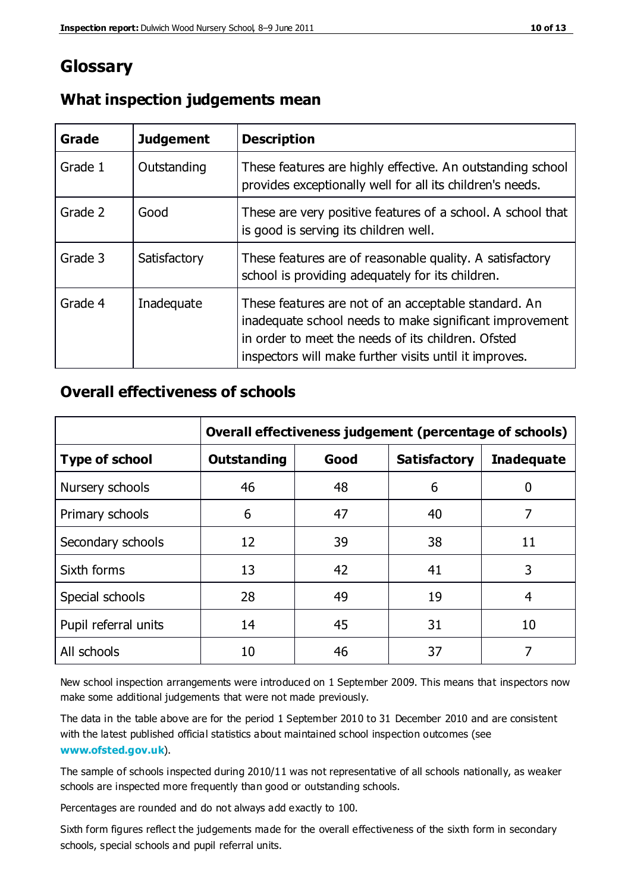## **Glossary**

| Grade   | <b>Judgement</b> | <b>Description</b>                                                                                                                                                                                                              |
|---------|------------------|---------------------------------------------------------------------------------------------------------------------------------------------------------------------------------------------------------------------------------|
| Grade 1 | Outstanding      | These features are highly effective. An outstanding school<br>provides exceptionally well for all its children's needs.                                                                                                         |
| Grade 2 | Good             | These are very positive features of a school. A school that<br>is good is serving its children well.                                                                                                                            |
| Grade 3 | Satisfactory     | These features are of reasonable quality. A satisfactory<br>school is providing adequately for its children.                                                                                                                    |
| Grade 4 | Inadequate       | These features are not of an acceptable standard. An<br>inadequate school needs to make significant improvement<br>in order to meet the needs of its children. Ofsted<br>inspectors will make further visits until it improves. |

#### **What inspection judgements mean**

#### **Overall effectiveness of schools**

|                       | Overall effectiveness judgement (percentage of schools) |      |                     |                   |
|-----------------------|---------------------------------------------------------|------|---------------------|-------------------|
| <b>Type of school</b> | <b>Outstanding</b>                                      | Good | <b>Satisfactory</b> | <b>Inadequate</b> |
| Nursery schools       | 46                                                      | 48   | 6                   |                   |
| Primary schools       | 6                                                       | 47   | 40                  | 7                 |
| Secondary schools     | 12                                                      | 39   | 38                  | 11                |
| Sixth forms           | 13                                                      | 42   | 41                  | 3                 |
| Special schools       | 28                                                      | 49   | 19                  | 4                 |
| Pupil referral units  | 14                                                      | 45   | 31                  | 10                |
| All schools           | 10                                                      | 46   | 37                  |                   |

New school inspection arrangements were introduced on 1 September 2009. This means that inspectors now make some additional judgements that were not made previously.

The data in the table above are for the period 1 September 2010 to 31 December 2010 and are consistent with the latest published official statistics about maintained school inspection outcomes (see **[www.ofsted.gov.uk](http://www.ofsted.gov.uk/)**).

The sample of schools inspected during 2010/11 was not representative of all schools nationally, as weaker schools are inspected more frequently than good or outstanding schools.

Percentages are rounded and do not always add exactly to 100.

Sixth form figures reflect the judgements made for the overall effectiveness of the sixth form in secondary schools, special schools and pupil referral units.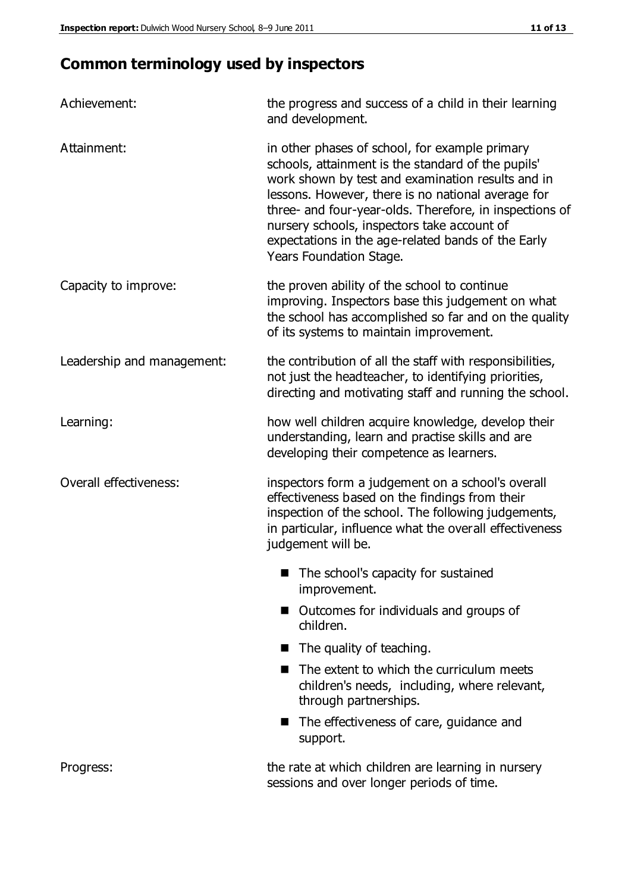# **Common terminology used by inspectors**

| Achievement:               | the progress and success of a child in their learning<br>and development.                                                                                                                                                                                                                                                                                                                                  |  |  |
|----------------------------|------------------------------------------------------------------------------------------------------------------------------------------------------------------------------------------------------------------------------------------------------------------------------------------------------------------------------------------------------------------------------------------------------------|--|--|
| Attainment:                | in other phases of school, for example primary<br>schools, attainment is the standard of the pupils'<br>work shown by test and examination results and in<br>lessons. However, there is no national average for<br>three- and four-year-olds. Therefore, in inspections of<br>nursery schools, inspectors take account of<br>expectations in the age-related bands of the Early<br>Years Foundation Stage. |  |  |
| Capacity to improve:       | the proven ability of the school to continue<br>improving. Inspectors base this judgement on what<br>the school has accomplished so far and on the quality<br>of its systems to maintain improvement.                                                                                                                                                                                                      |  |  |
| Leadership and management: | the contribution of all the staff with responsibilities,<br>not just the headteacher, to identifying priorities,<br>directing and motivating staff and running the school.                                                                                                                                                                                                                                 |  |  |
| Learning:                  | how well children acquire knowledge, develop their<br>understanding, learn and practise skills and are<br>developing their competence as learners.                                                                                                                                                                                                                                                         |  |  |
| Overall effectiveness:     | inspectors form a judgement on a school's overall<br>effectiveness based on the findings from their<br>inspection of the school. The following judgements,<br>in particular, influence what the overall effectiveness<br>judgement will be.                                                                                                                                                                |  |  |
|                            | The school's capacity for sustained<br>improvement.                                                                                                                                                                                                                                                                                                                                                        |  |  |
|                            | Outcomes for individuals and groups of<br>children.                                                                                                                                                                                                                                                                                                                                                        |  |  |
|                            | The quality of teaching.<br><b>In the case of the case of the case of the case of the case of the case of the case of the case of the case of the case of the case of the case of the case of the case of the case of the case of the case of the case of th</b>                                                                                                                                           |  |  |
|                            | The extent to which the curriculum meets<br>children's needs, including, where relevant,<br>through partnerships.                                                                                                                                                                                                                                                                                          |  |  |
|                            | The effectiveness of care, guidance and<br>support.                                                                                                                                                                                                                                                                                                                                                        |  |  |
| Progress:                  | the rate at which children are learning in nursery<br>sessions and over longer periods of time.                                                                                                                                                                                                                                                                                                            |  |  |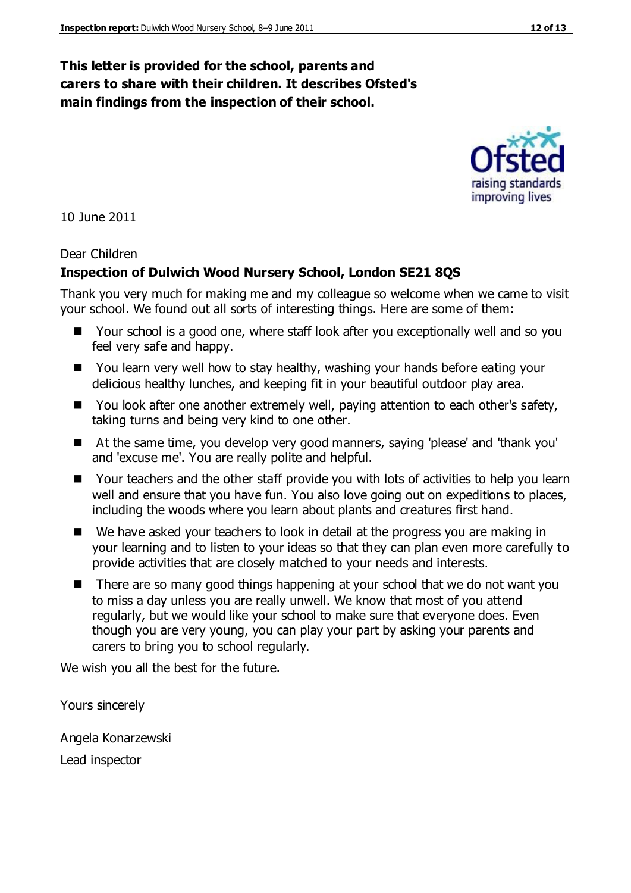#### **This letter is provided for the school, parents and carers to share with their children. It describes Ofsted's main findings from the inspection of their school.**

10 June 2011

#### Dear Children

#### **Inspection of Dulwich Wood Nursery School, London SE21 8QS**

Thank you very much for making me and my colleague so welcome when we came to visit your school. We found out all sorts of interesting things. Here are some of them:

- Your school is a good one, where staff look after you exceptionally well and so you feel very safe and happy.
- You learn very well how to stay healthy, washing your hands before eating your delicious healthy lunches, and keeping fit in your beautiful outdoor play area.
- You look after one another extremely well, paying attention to each other's safety, taking turns and being very kind to one other.
- At the same time, you develop very good manners, saying 'please' and 'thank you' and 'excuse me'. You are really polite and helpful.
- Your teachers and the other staff provide you with lots of activities to help you learn well and ensure that you have fun. You also love going out on expeditions to places, including the woods where you learn about plants and creatures first hand.
- We have asked your teachers to look in detail at the progress you are making in your learning and to listen to your ideas so that they can plan even more carefully to provide activities that are closely matched to your needs and interests.
- There are so many good things happening at your school that we do not want you to miss a day unless you are really unwell. We know that most of you attend regularly, but we would like your school to make sure that everyone does. Even though you are very young, you can play your part by asking your parents and carers to bring you to school regularly.

We wish you all the best for the future.

Yours sincerely

Angela Konarzewski

Lead inspector